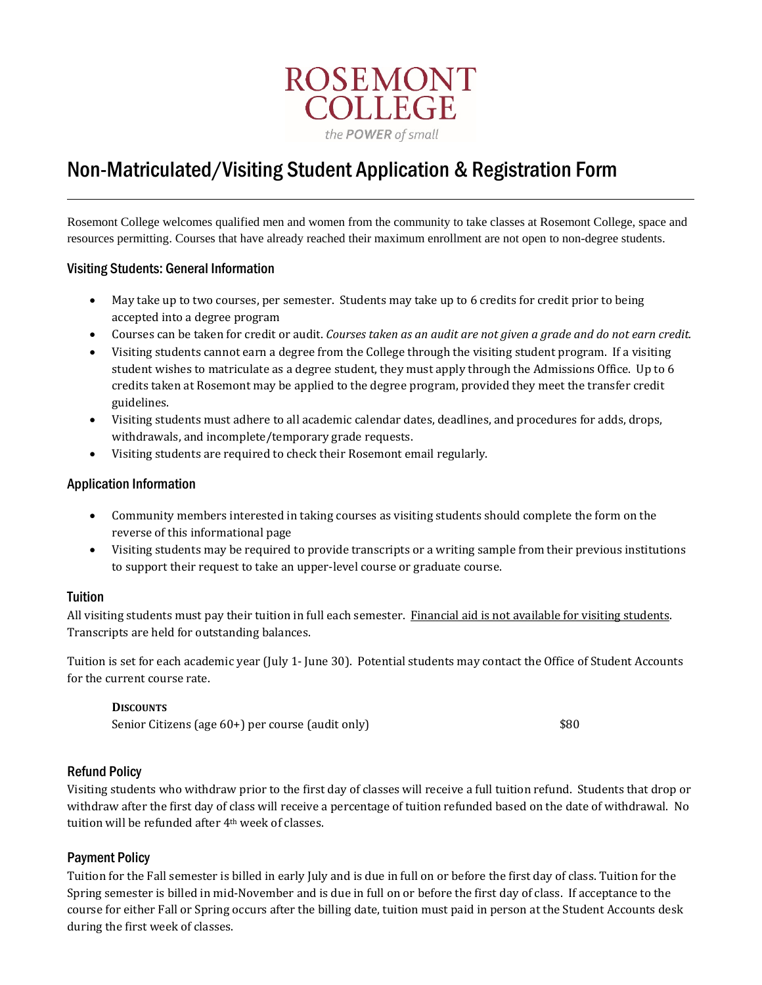

# Non-Matriculated/Visiting Student Application & Registration Form

Rosemont College welcomes qualified men and women from the community to take classes at Rosemont College, space and resources permitting. Courses that have already reached their maximum enrollment are not open to non-degree students.

#### Visiting Students: General Information

- May take up to two courses, per semester. Students may take up to 6 credits for credit prior to being accepted into a degree program
- Courses can be taken for credit or audit. *Courses taken as an audit are not given a grade and do not earn credit.*
- Visiting students cannot earn a degree from the College through the visiting student program. If a visiting student wishes to matriculate as a degree student, they must apply through the Admissions Office. Up to 6 credits taken at Rosemont may be applied to the degree program, provided they meet the transfer credit guidelines.
- Visiting students must adhere to all academic calendar dates, deadlines, and procedures for adds, drops, withdrawals, and incomplete/temporary grade requests.
- Visiting students are required to check their Rosemont email regularly.

#### Application Information

- Community members interested in taking courses as visiting students should complete the form on the reverse of this informational page
- Visiting students may be required to provide transcripts or a writing sample from their previous institutions to support their request to take an upper-level course or graduate course.

#### Tuition

All visiting students must pay their tuition in full each semester. Financial aid is not available for visiting students. Transcripts are held for outstanding balances.

Tuition is set for each academic year (July 1- June 30). Potential students may contact the Office of Student Accounts for the current course rate.

#### **DISCOUNTS**

Senior Citizens (age 60+) per course (audit only)  $$80$ 

### Refund Policy

Visiting students who withdraw prior to the first day of classes will receive a full tuition refund. Students that drop or withdraw after the first day of class will receive a percentage of tuition refunded based on the date of withdrawal. No tuition will be refunded after 4<sup>th</sup> week of classes.

### Payment Policy

Tuition for the Fall semester is billed in early July and is due in full on or before the first day of class. Tuition for the Spring semester is billed in mid-November and is due in full on or before the first day of class. If acceptance to the course for either Fall or Spring occurs after the billing date, tuition must paid in person at the Student Accounts desk during the first week of classes.